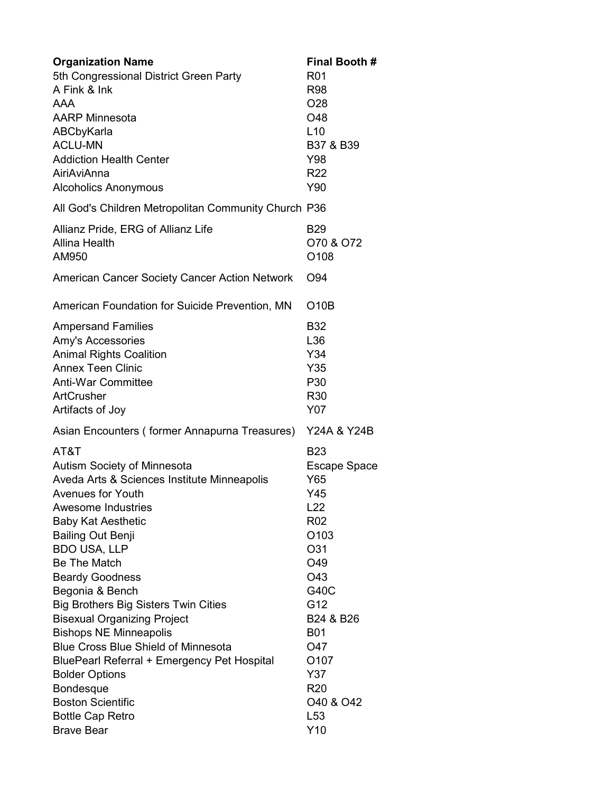| <b>Organization Name</b>                                  | <b>Final Booth #</b>              |
|-----------------------------------------------------------|-----------------------------------|
| 5th Congressional District Green Party                    | <b>R01</b>                        |
| A Fink & Ink                                              | <b>R98</b>                        |
| <b>AAA</b>                                                | O <sub>28</sub>                   |
| <b>AARP Minnesota</b>                                     | O48                               |
| ABCbyKarla                                                | L10                               |
| <b>ACLU-MN</b>                                            | B37 & B39                         |
| <b>Addiction Health Center</b>                            | Y98                               |
| AiriAviAnna                                               | R <sub>22</sub>                   |
| <b>Alcoholics Anonymous</b>                               | Y90                               |
| All God's Children Metropolitan Community Church P36      |                                   |
| Allianz Pride, ERG of Allianz Life                        | <b>B29</b>                        |
| Allina Health                                             | O70 & O72                         |
| AM950                                                     | O <sub>108</sub>                  |
| American Cancer Society Cancer Action Network             | O <sub>94</sub>                   |
| American Foundation for Suicide Prevention, MN            | O10B                              |
| <b>Ampersand Families</b>                                 | <b>B32</b>                        |
| <b>Amy's Accessories</b>                                  | L36                               |
| <b>Animal Rights Coalition</b>                            | Y34                               |
| <b>Annex Teen Clinic</b>                                  | Y35                               |
| <b>Anti-War Committee</b>                                 | P30                               |
| <b>ArtCrusher</b>                                         | R <sub>30</sub>                   |
| Artifacts of Joy                                          | Y07                               |
| Asian Encounters (former Annapurna Treasures) Y24A & Y24B |                                   |
| AT&T                                                      | <b>B23</b>                        |
| Autism Society of Minnesota                               | Escape Space                      |
| Aveda Arts & Sciences Institute Minneapolis               | Y65                               |
| Avenues for Youth                                         | Y45                               |
| <b>Awesome Industries</b>                                 | L22                               |
| <b>Baby Kat Aesthetic</b>                                 | R <sub>02</sub>                   |
| <b>Bailing Out Benji</b>                                  | O <sub>103</sub>                  |
| <b>BDO USA, LLP</b>                                       | O31                               |
| Be The Match                                              | O49                               |
| <b>Beardy Goodness</b>                                    | O43                               |
| Begonia & Bench                                           | G40C                              |
| <b>Big Brothers Big Sisters Twin Cities</b>               | G12                               |
| <b>Bisexual Organizing Project</b>                        | B24 & B26                         |
| <b>Bishops NE Minneapolis</b>                             | <b>B01</b>                        |
| <b>Blue Cross Blue Shield of Minnesota</b>                | O47                               |
| BluePearl Referral + Emergency Pet Hospital               | O <sub>107</sub>                  |
| <b>Bolder Options</b>                                     | Y37                               |
| Bondesque                                                 | R <sub>20</sub>                   |
| <b>Boston Scientific</b>                                  | O <sub>40</sub> & O <sub>42</sub> |
| <b>Bottle Cap Retro</b>                                   | L <sub>53</sub>                   |
| <b>Brave Bear</b>                                         | Y10                               |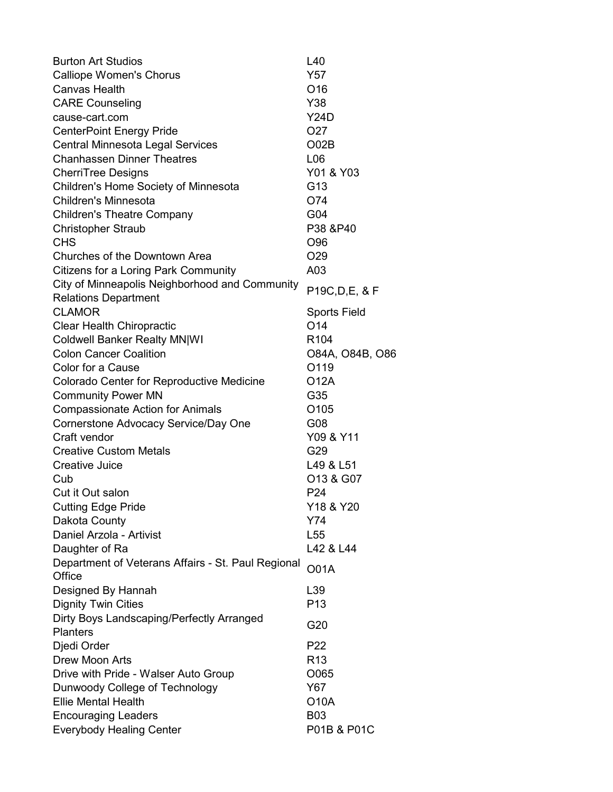| <b>Burton Art Studios</b>                          | L40                 |
|----------------------------------------------------|---------------------|
| <b>Calliope Women's Chorus</b>                     | Y57                 |
| Canvas Health                                      | O <sub>16</sub>     |
| <b>CARE Counseling</b>                             | Y38                 |
| cause-cart.com                                     | Y24D                |
| <b>CenterPoint Energy Pride</b>                    | O <sub>27</sub>     |
| <b>Central Minnesota Legal Services</b>            | O <sub>02B</sub>    |
| <b>Chanhassen Dinner Theatres</b>                  | L <sub>06</sub>     |
| <b>CherriTree Designs</b>                          | Y01 & Y03           |
| Children's Home Society of Minnesota               | G <sub>13</sub>     |
| <b>Children's Minnesota</b>                        | O74                 |
| <b>Children's Theatre Company</b>                  | G04                 |
| <b>Christopher Straub</b>                          | P38 &P40            |
| <b>CHS</b>                                         | O96                 |
| Churches of the Downtown Area                      | O <sub>29</sub>     |
| Citizens for a Loring Park Community               | A03                 |
| City of Minneapolis Neighborhood and Community     |                     |
| <b>Relations Department</b>                        | P19C, D, E, & F     |
| <b>CLAMOR</b>                                      | <b>Sports Field</b> |
| <b>Clear Health Chiropractic</b>                   | O <sub>14</sub>     |
| <b>Coldwell Banker Realty MN WI</b>                | R <sub>104</sub>    |
| <b>Colon Cancer Coalition</b>                      | 084A, 084B, 086     |
| Color for a Cause                                  | O119                |
| Colorado Center for Reproductive Medicine          | O12A                |
| <b>Community Power MN</b>                          | G35                 |
| <b>Compassionate Action for Animals</b>            | O <sub>105</sub>    |
| Cornerstone Advocacy Service/Day One               | G08                 |
| Craft vendor                                       | Y09 & Y11           |
| <b>Creative Custom Metals</b>                      | G29                 |
| Creative Juice                                     | L49 & L51           |
| Cub                                                | O13 & G07           |
| Cut it Out salon                                   | P <sub>24</sub>     |
| <b>Cutting Edge Pride</b>                          | Y18 & Y20           |
| Dakota County                                      | Y74                 |
| Daniel Arzola - Artivist                           | L <sub>55</sub>     |
| Daughter of Ra                                     | L42 & L44           |
| Department of Veterans Affairs - St. Paul Regional | <b>O01A</b>         |
| Office                                             |                     |
| Designed By Hannah                                 | L39                 |
| <b>Dignity Twin Cities</b>                         | P <sub>13</sub>     |
| Dirty Boys Landscaping/Perfectly Arranged          | G20                 |
| <b>Planters</b>                                    |                     |
| Djedi Order                                        | P <sub>22</sub>     |
| <b>Drew Moon Arts</b>                              | R <sub>13</sub>     |
| Drive with Pride - Walser Auto Group               | O065                |
| Dunwoody College of Technology                     | Y67                 |
| <b>Ellie Mental Health</b>                         | <b>O10A</b>         |
| <b>Encouraging Leaders</b>                         | <b>B03</b>          |
| <b>Everybody Healing Center</b>                    | P01B & P01C         |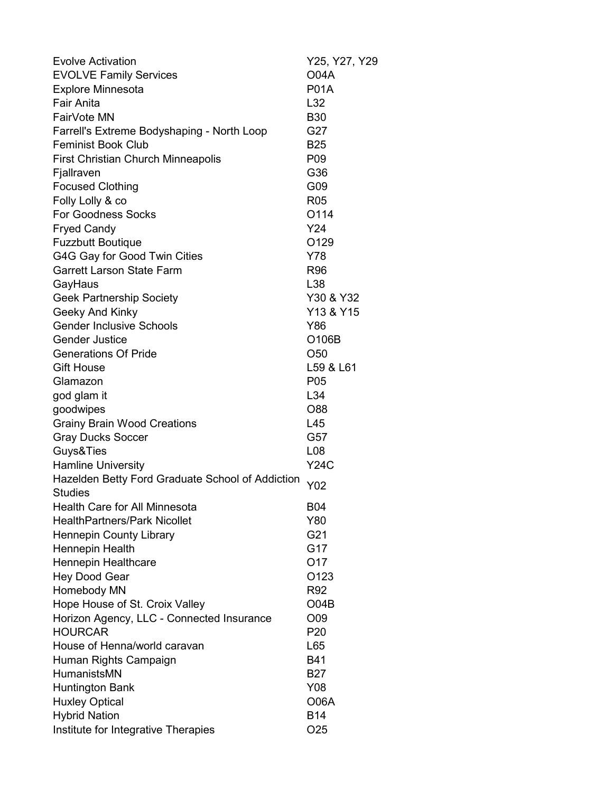| <b>Evolve Activation</b>                         | Y25, Y27, Y29    |
|--------------------------------------------------|------------------|
| <b>EVOLVE Family Services</b>                    | <b>O04A</b>      |
| <b>Explore Minnesota</b>                         | <b>P01A</b>      |
| <b>Fair Anita</b>                                | L32              |
| FairVote MN                                      | <b>B30</b>       |
| Farrell's Extreme Bodyshaping - North Loop       | G27              |
| <b>Feminist Book Club</b>                        | <b>B25</b>       |
| <b>First Christian Church Minneapolis</b>        | P <sub>09</sub>  |
| Fjallraven                                       | G36              |
| <b>Focused Clothing</b>                          | G09              |
| Folly Lolly & co                                 | R <sub>05</sub>  |
| <b>For Goodness Socks</b>                        | O114             |
| <b>Fryed Candy</b>                               | Y24              |
| <b>Fuzzbutt Boutique</b>                         | O129             |
| G4G Gay for Good Twin Cities                     | Y78              |
| <b>Garrett Larson State Farm</b>                 | <b>R96</b>       |
| GayHaus                                          | L38              |
| <b>Geek Partnership Society</b>                  | Y30 & Y32        |
| Geeky And Kinky                                  | Y13 & Y15        |
| <b>Gender Inclusive Schools</b>                  | Y86              |
| <b>Gender Justice</b>                            | O106B            |
| <b>Generations Of Pride</b>                      | O <sub>50</sub>  |
| <b>Gift House</b>                                | L59 & L61        |
| Glamazon                                         | P <sub>05</sub>  |
| god glam it                                      | L34              |
| goodwipes                                        | O88              |
| <b>Grainy Brain Wood Creations</b>               | L45              |
| <b>Gray Ducks Soccer</b>                         | G57              |
| Guys&Ties                                        | L08              |
| <b>Hamline University</b>                        | <b>Y24C</b>      |
| Hazelden Betty Ford Graduate School of Addiction | Y02              |
| <b>Studies</b>                                   |                  |
| <b>Health Care for All Minnesota</b>             | <b>B04</b>       |
| <b>HealthPartners/Park Nicollet</b>              | Y80              |
| <b>Hennepin County Library</b>                   | G21              |
| Hennepin Health                                  | G17              |
| Hennepin Healthcare                              | O <sub>17</sub>  |
| <b>Hey Dood Gear</b>                             | O <sub>123</sub> |
| Homebody MN                                      | R92              |
| Hope House of St. Croix Valley                   | O04B             |
| Horizon Agency, LLC - Connected Insurance        | O09              |
| <b>HOURCAR</b>                                   | P <sub>20</sub>  |
| House of Henna/world caravan                     | L65              |
| Human Rights Campaign                            | <b>B41</b>       |
| <b>HumanistsMN</b>                               | <b>B27</b>       |
| <b>Huntington Bank</b>                           | Y08              |
| <b>Huxley Optical</b>                            | <b>O06A</b>      |
| <b>Hybrid Nation</b>                             | <b>B14</b>       |
| Institute for Integrative Therapies              | O <sub>25</sub>  |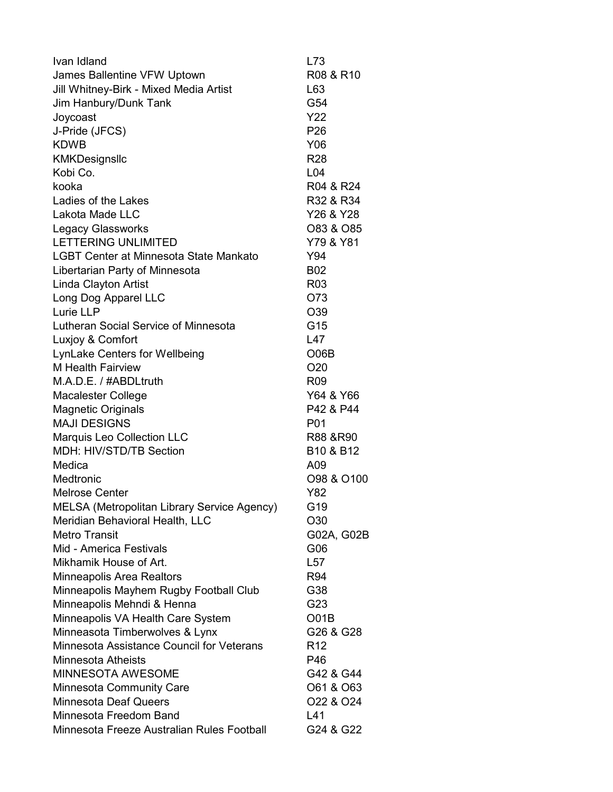| Ivan Idland                                   | L73                               |
|-----------------------------------------------|-----------------------------------|
| James Ballentine VFW Uptown                   | R08 & R10                         |
| Jill Whitney-Birk - Mixed Media Artist        | L63                               |
| Jim Hanbury/Dunk Tank                         | G54                               |
| Joycoast                                      | <b>Y22</b>                        |
| J-Pride (JFCS)                                | P <sub>26</sub>                   |
| <b>KDWB</b>                                   | Y06                               |
| KMKDesignsllc                                 | R <sub>28</sub>                   |
| Kobi Co.                                      | L <sub>04</sub>                   |
| kooka                                         | R04 & R24                         |
| Ladies of the Lakes                           | R32 & R34                         |
| Lakota Made LLC                               | Y26 & Y28                         |
| <b>Legacy Glassworks</b>                      | O83 & O85                         |
| <b>LETTERING UNLIMITED</b>                    | Y79 & Y81                         |
| <b>LGBT Center at Minnesota State Mankato</b> | Y94                               |
| Libertarian Party of Minnesota                | <b>B02</b>                        |
| Linda Clayton Artist                          | R <sub>03</sub>                   |
| Long Dog Apparel LLC                          | O73                               |
| Lurie LLP                                     | O39                               |
| Lutheran Social Service of Minnesota          | G15                               |
| Luxjoy & Comfort                              | L47                               |
| <b>LynLake Centers for Wellbeing</b>          | O06B                              |
| <b>M</b> Health Fairview                      | O <sub>20</sub>                   |
| M.A.D.E. / #ABDLtruth                         | R <sub>09</sub>                   |
| <b>Macalester College</b>                     | Y64 & Y66                         |
| <b>Magnetic Originals</b>                     | P42 & P44                         |
| <b>MAJI DESIGNS</b>                           | P01                               |
| <b>Marquis Leo Collection LLC</b>             | R88 & R90                         |
| MDH: HIV/STD/TB Section                       | B <sub>10</sub> & B <sub>12</sub> |
| Medica                                        | A09                               |
| Medtronic                                     | O98 & O100                        |
| <b>Melrose Center</b>                         | Y82                               |
| MELSA (Metropolitan Library Service Agency)   | G19                               |
| Meridian Behavioral Health, LLC               | O30                               |
| <b>Metro Transit</b>                          | G02A, G02B                        |
| Mid - America Festivals                       | G06                               |
| Mikhamik House of Art.                        | L57                               |
| Minneapolis Area Realtors                     | R94                               |
| Minneapolis Mayhem Rugby Football Club        | G38                               |
| Minneapolis Mehndi & Henna                    | G23                               |
| Minneapolis VA Health Care System             | O01B                              |
| Minneasota Timberwolves & Lynx                | G26 & G28                         |
| Minnesota Assistance Council for Veterans     | R <sub>12</sub>                   |
| Minnesota Atheists                            | P46                               |
| MINNESOTA AWESOME                             | G42 & G44                         |
| <b>Minnesota Community Care</b>               | O61 & O63                         |
| <b>Minnesota Deaf Queers</b>                  | O <sub>22</sub> & O <sub>24</sub> |
| Minnesota Freedom Band                        | L41                               |
| Minnesota Freeze Australian Rules Football    | G24 & G22                         |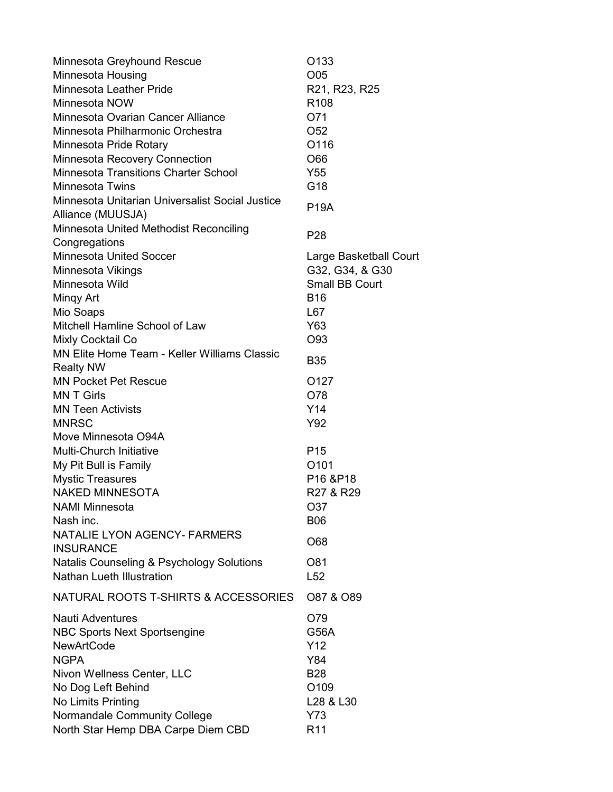| Minnesota Greyhound Rescue                                           | O <sub>133</sub>                  |
|----------------------------------------------------------------------|-----------------------------------|
| Minnesota Housing                                                    | O05                               |
| <b>Minnesota Leather Pride</b>                                       | R21, R23, R25                     |
| Minnesota NOW                                                        | R <sub>108</sub>                  |
| Minnesota Ovarian Cancer Alliance                                    | O71                               |
| Minnesota Philharmonic Orchestra                                     | O <sub>52</sub>                   |
| Minnesota Pride Rotary                                               | O116                              |
| <b>Minnesota Recovery Connection</b>                                 | O66                               |
| <b>Minnesota Transitions Charter School</b>                          | Y55                               |
| <b>Minnesota Twins</b>                                               | G18                               |
| Minnesota Unitarian Universalist Social Justice<br>Alliance (MUUSJA) | <b>P19A</b>                       |
| Minnesota United Methodist Reconciling                               |                                   |
| Congregations                                                        | P <sub>28</sub>                   |
| <b>Minnesota United Soccer</b>                                       | Large Basketball Court            |
| Minnesota Vikings                                                    | G32, G34, & G30                   |
| Minnesota Wild                                                       | <b>Small BB Court</b>             |
| Mingy Art                                                            | <b>B16</b>                        |
| Mio Soaps                                                            | L67                               |
| Mitchell Hamline School of Law                                       | Y63                               |
| Mixly Cocktail Co                                                    | O93                               |
| <b>MN Elite Home Team - Keller Williams Classic</b>                  |                                   |
| <b>Realty NW</b>                                                     | <b>B35</b>                        |
| <b>MN Pocket Pet Rescue</b>                                          | O <sub>127</sub>                  |
| <b>MNT Girls</b>                                                     | O78                               |
| <b>MN Teen Activists</b>                                             | Y14                               |
| <b>MNRSC</b>                                                         | Y92                               |
| Move Minnesota O94A                                                  |                                   |
| Multi-Church Initiative                                              | P <sub>15</sub>                   |
| My Pit Bull is Family                                                | O101                              |
| <b>Mystic Treasures</b>                                              | P <sub>16</sub> &P <sub>18</sub>  |
| <b>NAKED MINNESOTA</b>                                               | R <sub>27</sub> & R <sub>29</sub> |
| <b>NAMI Minnesota</b>                                                | O37                               |
| Nash inc.                                                            | <b>B06</b>                        |
| <b>NATALIE LYON AGENCY- FARMERS</b>                                  |                                   |
| <b>INSURANCE</b>                                                     | O68                               |
| Natalis Counseling & Psychology Solutions                            | O81                               |
| <b>Nathan Lueth Illustration</b>                                     |                                   |
|                                                                      | L52                               |
| NATURAL ROOTS T-SHIRTS & ACCESSORIES                                 | O87 & O89                         |
| <b>Nauti Adventures</b>                                              | O79                               |
| <b>NBC Sports Next Sportsengine</b>                                  | <b>G56A</b>                       |
| <b>NewArtCode</b>                                                    | Y <sub>12</sub>                   |
| <b>NGPA</b>                                                          | Y84                               |
| Nivon Wellness Center, LLC                                           | <b>B28</b>                        |
| No Dog Left Behind                                                   | O109                              |
| No Limits Printing                                                   | L28 & L30                         |
| Normandale Community College                                         | Y73                               |
| North Star Hemp DBA Carpe Diem CBD                                   | R <sub>11</sub>                   |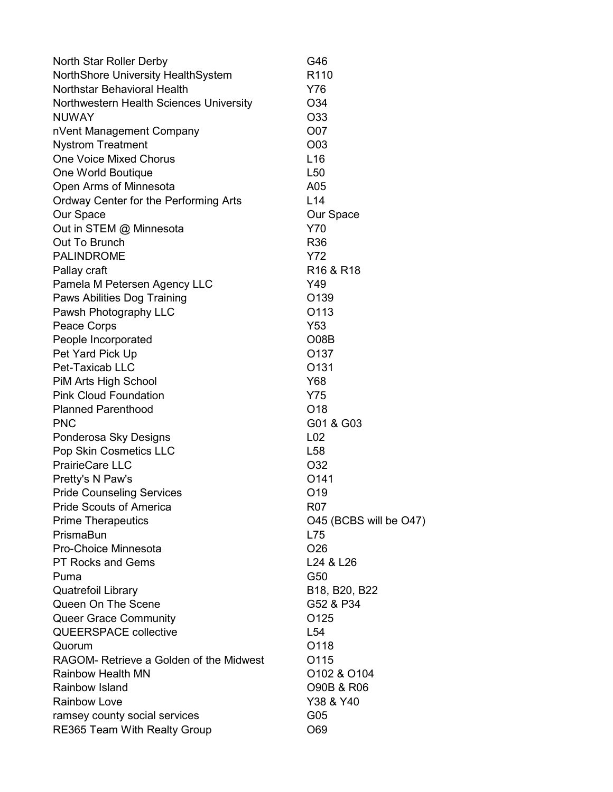| North Star Roller Derby                 | G46                               |
|-----------------------------------------|-----------------------------------|
| NorthShore University HealthSystem      | R <sub>110</sub>                  |
| Northstar Behavioral Health             | Y76                               |
| Northwestern Health Sciences University | O34                               |
| <b>NUWAY</b>                            | O33                               |
| nVent Management Company                | O07                               |
| <b>Nystrom Treatment</b>                | O03                               |
| <b>One Voice Mixed Chorus</b>           | L16                               |
| One World Boutique                      | L <sub>50</sub>                   |
| Open Arms of Minnesota                  | A05                               |
| Ordway Center for the Performing Arts   | L14                               |
| Our Space                               | Our Space                         |
| Out in STEM @ Minnesota                 | Y70                               |
| Out To Brunch                           | R <sub>36</sub>                   |
| <b>PALINDROME</b>                       | Y72                               |
| Pallay craft                            | R <sub>16</sub> & R <sub>18</sub> |
| Pamela M Petersen Agency LLC            | Y49                               |
| Paws Abilities Dog Training             | O139                              |
| Pawsh Photography LLC                   | O113                              |
| Peace Corps                             | Y53                               |
| People Incorporated                     | O08B                              |
| Pet Yard Pick Up                        | O137                              |
| Pet-Taxicab LLC                         | O <sub>131</sub>                  |
| PiM Arts High School                    | Y68                               |
| <b>Pink Cloud Foundation</b>            | Y75                               |
| <b>Planned Parenthood</b>               | O <sub>18</sub>                   |
| <b>PNC</b>                              | G01 & G03                         |
| Ponderosa Sky Designs                   | L <sub>02</sub>                   |
| Pop Skin Cosmetics LLC                  | L <sub>58</sub>                   |
| <b>PrairieCare LLC</b>                  | O32                               |
| Pretty's N Paw's                        | O <sub>141</sub>                  |
| <b>Pride Counseling Services</b>        | O <sub>19</sub>                   |
| <b>Pride Scouts of America</b>          | <b>R07</b>                        |
| <b>Prime Therapeutics</b>               | O45 (BCBS will be O47)            |
| PrismaBun                               | L75                               |
| Pro-Choice Minnesota                    | O <sub>26</sub>                   |
| <b>PT Rocks and Gems</b>                | L24 & L26                         |
| Puma                                    | G50                               |
| <b>Quatrefoil Library</b>               | B18, B20, B22                     |
| Queen On The Scene                      | G52 & P34                         |
| <b>Queer Grace Community</b>            | O <sub>125</sub>                  |
| <b>QUEERSPACE collective</b>            | L54                               |
| Quorum                                  | O118                              |
| RAGOM- Retrieve a Golden of the Midwest | O115                              |
| <b>Rainbow Health MN</b>                | O102 & O104                       |
| <b>Rainbow Island</b>                   | O90B & R06                        |
| <b>Rainbow Love</b>                     | Y38 & Y40                         |
| ramsey county social services           | G05                               |
| RE365 Team With Realty Group            | O69                               |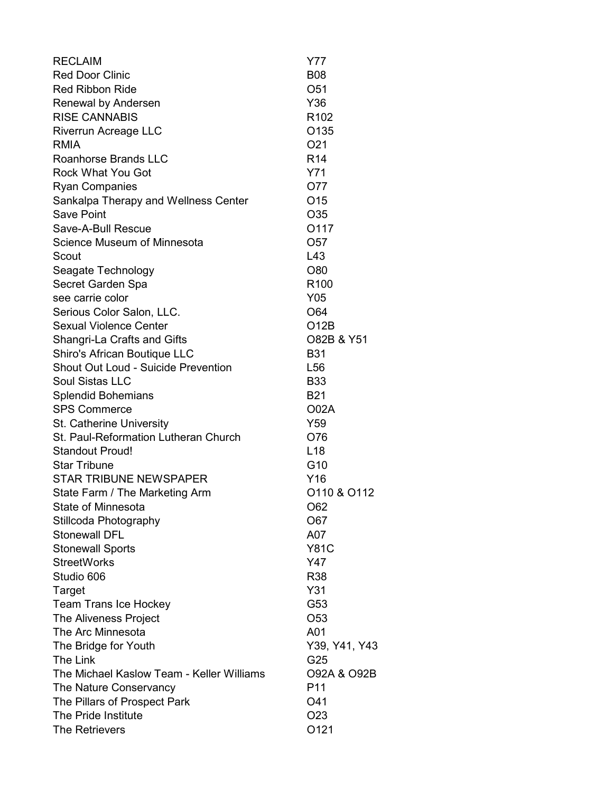| <b>RECLAIM</b>                             | Y77              |
|--------------------------------------------|------------------|
| <b>Red Door Clinic</b>                     | <b>B08</b>       |
| <b>Red Ribbon Ride</b>                     | O <sub>51</sub>  |
| Renewal by Andersen                        | Y36              |
| <b>RISE CANNABIS</b>                       | R <sub>102</sub> |
| <b>Riverrun Acreage LLC</b>                | O <sub>135</sub> |
| RMIA                                       | O <sub>21</sub>  |
| <b>Roanhorse Brands LLC</b>                | R <sub>14</sub>  |
| <b>Rock What You Got</b>                   | Y71              |
| <b>Ryan Companies</b>                      | O77              |
| Sankalpa Therapy and Wellness Center       | O <sub>15</sub>  |
| <b>Save Point</b>                          | O35              |
| Save-A-Bull Rescue                         | O117             |
| Science Museum of Minnesota                | O <sub>57</sub>  |
| Scout                                      | L43              |
| Seagate Technology                         | O80              |
| Secret Garden Spa                          | R <sub>100</sub> |
| see carrie color                           | Y05              |
| Serious Color Salon, LLC.                  | O64              |
| <b>Sexual Violence Center</b>              | O12B             |
| Shangri-La Crafts and Gifts                | O82B & Y51       |
| Shiro's African Boutique LLC               | <b>B31</b>       |
| <b>Shout Out Loud - Suicide Prevention</b> | L <sub>56</sub>  |
| Soul Sistas LLC                            | <b>B33</b>       |
| <b>Splendid Bohemians</b>                  | <b>B21</b>       |
| <b>SPS Commerce</b>                        | <b>O02A</b>      |
| St. Catherine University                   | Y59              |
| St. Paul-Reformation Lutheran Church       | O76              |
| <b>Standout Proud!</b>                     | L <sub>18</sub>  |
| <b>Star Tribune</b>                        | G10              |
| <b>STAR TRIBUNE NEWSPAPER</b>              | Y16              |
| State Farm / The Marketing Arm             | O110 & O112      |
| State of Minnesota                         | O62              |
| Stillcoda Photography                      | O67              |
| <b>Stonewall DFL</b>                       | A07              |
| <b>Stonewall Sports</b>                    | <b>Y81C</b>      |
| <b>StreetWorks</b>                         | Y47              |
| Studio 606                                 | R38              |
| Target                                     | Y31              |
| <b>Team Trans Ice Hockey</b>               | G53              |
| The Aliveness Project                      | O <sub>53</sub>  |
| The Arc Minnesota                          | A01              |
| The Bridge for Youth                       | Y39, Y41, Y43    |
| The Link                                   | G25              |
| The Michael Kaslow Team - Keller Williams  | 092A & 092B      |
| The Nature Conservancy                     | P11              |
| The Pillars of Prospect Park               | O41              |
| The Pride Institute                        | O <sub>23</sub>  |
| <b>The Retrievers</b>                      | O121             |